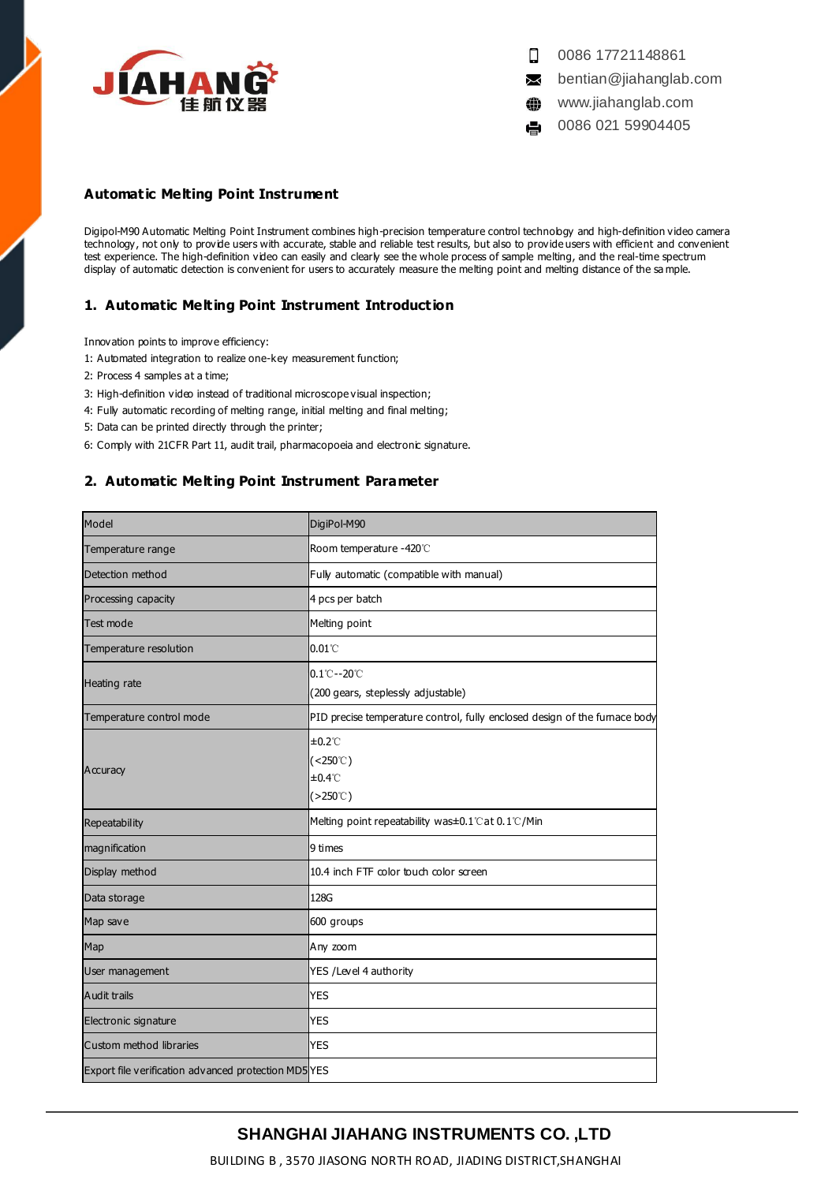

 $\Box$ 0086 17721148861

- $\Join$ bentian@jiahanglab.com
- www.jiahanglab.com ⊕

0086 021 59904405 e,

### **Automatic Melting Point Instrument**

Digipol-M90 Automatic Melting Point Instrument combines high-precision temperature control technology and high-definition video camera technology, not only to provide users with accurate, stable and reliable test results, but also to provide users with efficient and convenient test experience. The high-definition video can easily and clearly see the whole process of sample melting, and the real-time spectrum display of automatic detection is convenient for users to accurately measure the melting point and melting distance of the sa mple.

### **1. Automatic Melting Point Instrument Introduction**

Innovation points to improve efficiency:

- 1: Automated integration to realize one-key measurement function;
- 2: Process 4 samples at a time;
- 3: High-definition video instead of traditional microscope visual inspection;
- 4: Fully automatic recording of melting range, initial melting and final melting;
- 5: Data can be printed directly through the printer;
- 6: Comply with 21CFR Part 11, audit trail, pharmacopoeia and electronic signature.

### **2. Automatic Melting Point Instrument Parameter**

| Model                                                | DigiPol-M90                                                                        |
|------------------------------------------------------|------------------------------------------------------------------------------------|
| Temperature range                                    | Room temperature -420°C                                                            |
| Detection method                                     | Fully automatic (compatible with manual)                                           |
| Processing capacity                                  | 4 pcs per batch                                                                    |
| Test mode                                            | Melting point                                                                      |
| Temperature resolution                               | $0.01^{\circ}$                                                                     |
| Heating rate                                         | $0.1^{\circ}$ C--20 $^{\circ}$ C<br>(200 gears, steplessly adjustable)             |
| Temperature control mode                             | PID precise temperature control, fully enclosed design of the fumace body          |
| Accuracy                                             | $±0.2^{\circ}$<br>$(<250^{\circ}$ C)<br>$±0.4^{\circ}$<br>$( >250^\circ \text{C})$ |
| Repeatability                                        | Melting point repeatability was±0.1°Cat 0.1℃/Min                                   |
| magnification                                        | 9 times                                                                            |
| Display method                                       | 10.4 inch FTF color touch color screen                                             |
| Data storage                                         | 128G                                                                               |
| Map save                                             | 600 groups                                                                         |
| Map                                                  | Any zoom                                                                           |
| User management                                      | YES /Level 4 authority                                                             |
| <b>Audit trails</b>                                  | <b>YES</b>                                                                         |
| Electronic signature                                 | <b>YES</b>                                                                         |
| Custom method libraries                              | <b>YES</b>                                                                         |
| Export file verification advanced protection MD5 YES |                                                                                    |

# **SHANGHAI JIAHANG INSTRUMENTS CO. ,LTD**

BUILDING B , 3570 JIASONG NORTH ROAD, JIADING DISTRICT,SHANGHAI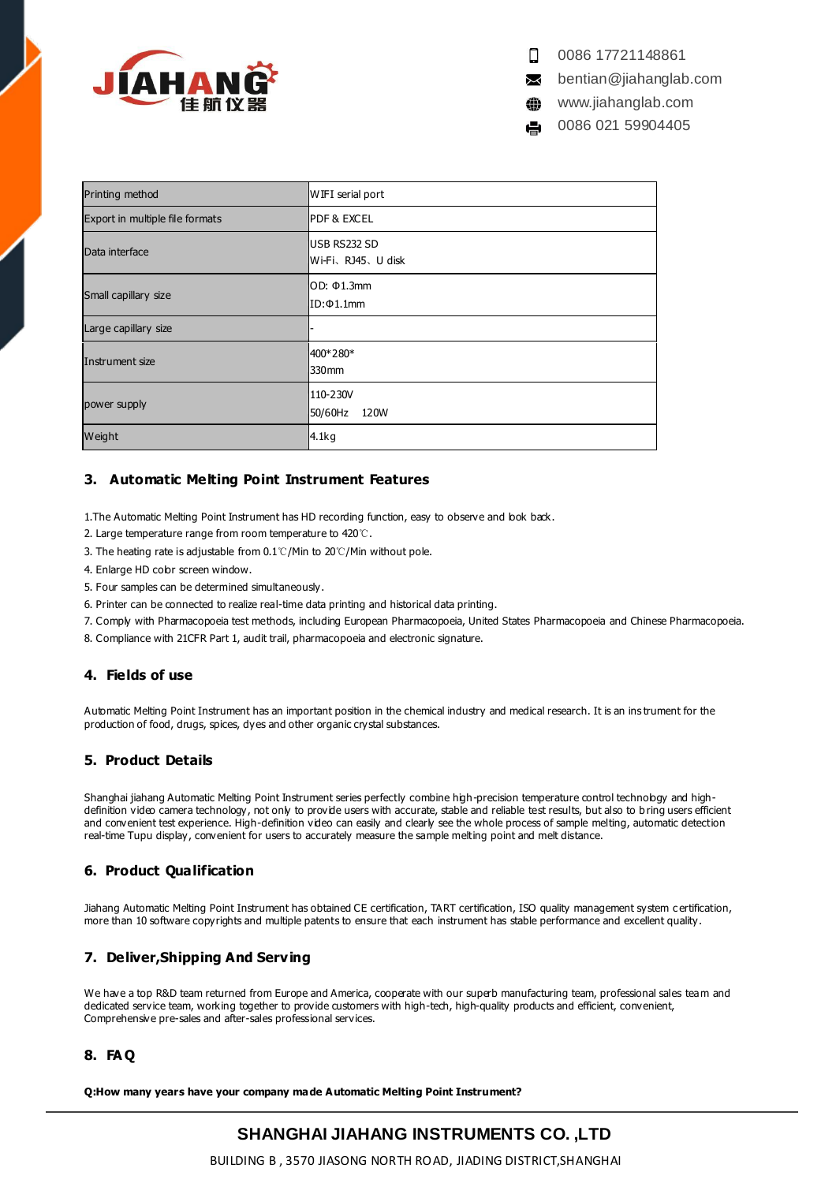

0086 17721148861 Ω

bentian@jiahanglab.com  $\bowtie$ 

www.jiahanglab.com ⊕

0086 021 59904405

| Printing method                 | WIFI serial port                          |
|---------------------------------|-------------------------------------------|
| Export in multiple file formats | <b>IPDF &amp; EXCEL</b>                   |
| Data interface                  | <b>IUSB RS232 SD</b><br>Wi-Fi、RJ45、U disk |
| Small capillary size            | IOD: Φ1.3mm<br>ID:Φ1.1mm                  |
| Large capillary size            |                                           |
| Instrument size                 | 400*280*<br>330 <sub>mm</sub>             |
| power supply                    | 110-230V<br>50/60Hz<br>120W               |
| Weight                          | 4.1kg                                     |

## **3. Automatic Melting Point Instrument Features**

1. The Automatic Melting Point Instrument has HD recording function, easy to observe and bok back.

- 2. Large temperature range from room temperature to 420℃.
- 3. The heating rate is adjustable from 0.1℃/Min to 20℃/Min without pole.
- 4. Enlarge HD color screen window.
- 5. Four samples can be determined simultaneously.
- 6. Printer can be connected to realize real-time data printing and historical data printing.
- 7. Comply with Pharmacopoeia test methods, including European Pharmacopoeia, United States Pharmacopoeia and Chinese Pharmacopoeia.
- 8. Compliance with 21CFR Part 1, audit trail, pharmacopoeia and electronic signature.

## **4. Fields of use**

Automatic Melting Point Instrument has an important position in the chemical industry and medical research. It is an ins trument for the production of food, drugs, spices, dyes and other organic crystal substances.

## **5. Product Details**

Shanghai jiahang Automatic Melting Point Instrument series perfectly combine high-precision temperature control technology and highdefinition video camera technology, not only to provide users with accurate, stable and reliable test results, but also to b ring users efficient and convenient test experience. High-definition video can easily and clearly see the whole process of sample melting, automatic detection real-time Tupu display, convenient for users to accurately measure the sample melting point and melt distance.

## **6. Product Qualification**

Jiahang Automatic Melting Point Instrument has obtained CE certification, TART certification, ISO quality management system c ertification, more than 10 software copyrights and multiple patents to ensure that each instrument has stable performance and excellent quality.

## **7. Deliver,Shipping And Serving**

We have a top R&D team returned from Europe and America, cooperate with our superb manufacturing team, professional sales team and dedicated service team, working together to provide customers with high-tech, high-quality products and efficient, convenient, Comprehensive pre-sales and after-sales professional services.

## **8. FA Q**

**Q:How many years have your company made Automatic Melting Point Instrument?**

# **SHANGHAI JIAHANG INSTRUMENTS CO. ,LTD**